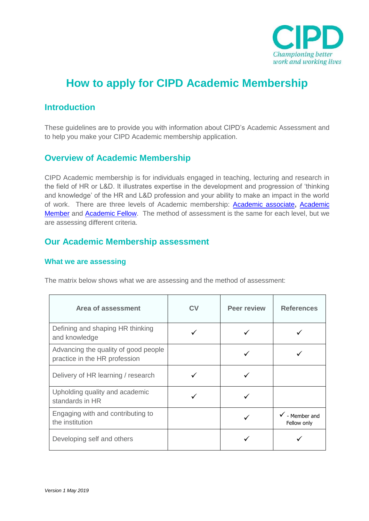

# **How to apply for CIPD Academic Membership**

# **Introduction**

These guidelines are to provide you with information about CIPD's Academic Assessment and to help you make your CIPD Academic membership application.

# **Overview of Academic Membership**

CIPD Academic membership is for individuals engaged in teaching, lecturing and research in the field of HR or L&D. It illustrates expertise in the development and progression of 'thinking and knowledge' of the HR and L&D profession and your ability to make an impact in the world of work. There are three levels of Academic membership: [Academic associate](https://www.cipd.co.uk/Images/academic-associate-description-2017_tcm18-14887.pdf)**,** [Academic](https://www.cipd.co.uk/Images/academic-member-description-2017_tcm18-14888.pdf)  [Member](https://www.cipd.co.uk/Images/academic-member-description-2017_tcm18-14888.pdf) and [Academic Fellow.](https://www.cipd.co.uk/Images/academic-fellow-description-2017_tcm18-14889.pdf) The method of assessment is the same for each level, but we are assessing different criteria.

# **Our Academic Membership assessment**

# **What we are assessing**

The matrix below shows what we are assessing and the method of assessment:

| Area of assessment                                                    | СV | <b>Peer review</b> | <b>References</b>           |
|-----------------------------------------------------------------------|----|--------------------|-----------------------------|
| Defining and shaping HR thinking<br>and knowledge                     |    |                    |                             |
| Advancing the quality of good people<br>practice in the HR profession |    |                    |                             |
| Delivery of HR learning / research                                    |    |                    |                             |
| Upholding quality and academic<br>standards in HR                     |    |                    |                             |
| Engaging with and contributing to<br>the institution                  |    |                    | - Member and<br>Fellow only |
| Developing self and others                                            |    |                    |                             |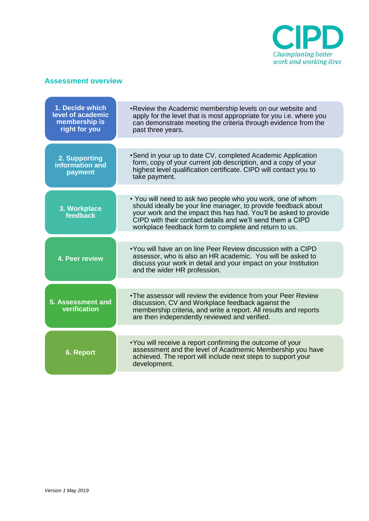

# **Assessment overview**

| 1. Decide which<br>level of academic<br>membership is<br>right for you | . Review the Academic membership levels on our website and<br>apply for the level that is most appropriate for you i.e. where you<br>can demonstrate meeting the criteria through evidence from the<br>past three years.                                                                                                  |
|------------------------------------------------------------------------|---------------------------------------------------------------------------------------------------------------------------------------------------------------------------------------------------------------------------------------------------------------------------------------------------------------------------|
| 2. Supporting<br>information and<br>payment                            | • Send in your up to date CV, completed Academic Application<br>form, copy of your current job description, and a copy of your<br>highest level qualification certificate. CIPD will contact you to<br>take payment.                                                                                                      |
| 3. Workplace<br>feedback                                               | • You will need to ask two people who you work, one of whom<br>should ideally be your line manager, to provide feedback about<br>your work and the impact this has had. You'll be asked to provide<br>CIPD with their contact details and we'll send them a CIPD<br>workplace feedback form to complete and return to us. |
| 4. Peer review                                                         | • You will have an on line Peer Review discussion with a CIPD<br>assessor, who is also an HR academic. You will be asked to<br>discuss your work in detail and your impact on your Institution<br>and the wider HR profession.                                                                                            |
| 5. Assessment and<br>verification                                      | . The assessor will review the evidence from your Peer Review<br>discussion, CV and Workplace feedback against the<br>membership criteria, and write a report. All results and reports<br>are then independently reviewed and verified.                                                                                   |
| <b>6. Report</b>                                                       | • You will receive a report confirming the outcome of your<br>assessment and the level of Acadmemic Membership you have<br>achieved. The report will include next steps to support your<br>development.                                                                                                                   |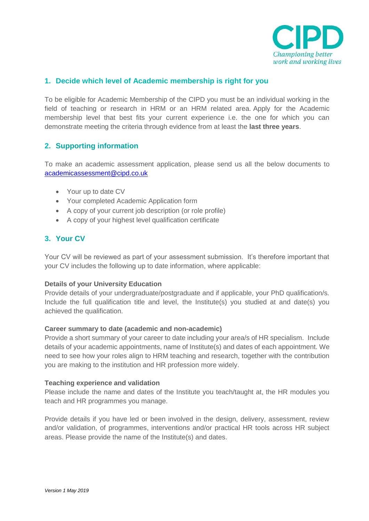

# **1. Decide which level of Academic membership is right for you**

To be eligible for Academic Membership of the CIPD you must be an individual working in the field of teaching or research in HRM or an HRM related area. Apply for the Academic membership level that best fits your current experience i.e. the one for which you can demonstrate meeting the criteria through evidence from at least the **last three years**.

# **2. Supporting information**

To make an academic assessment application, please send us all the below documents to [academicassessment@cipd.co.uk](mailto:academicassessment@cipd.co.uk)

- Your up to date CV
- Your completed Academic Application form
- A copy of your current job description (or role profile)
- A copy of your highest level qualification certificate

# **3. Your CV**

Your CV will be reviewed as part of your assessment submission. It's therefore important that your CV includes the following up to date information, where applicable:

## **Details of your University Education**

Provide details of your undergraduate/postgraduate and if applicable, your PhD qualification/s. Include the full qualification title and level, the Institute(s) you studied at and date(s) you achieved the qualification.

## **Career summary to date (academic and non-academic)**

Provide a short summary of your career to date including your area/s of HR specialism. Include details of your academic appointments, name of Institute(s) and dates of each appointment. We need to see how your roles align to HRM teaching and research, together with the contribution you are making to the institution and HR profession more widely.

## **Teaching experience and validation**

Please include the name and dates of the Institute you teach/taught at, the HR modules you teach and HR programmes you manage.

Provide details if you have led or been involved in the design, delivery, assessment, review and/or validation, of programmes, interventions and/or practical HR tools across HR subject areas. Please provide the name of the Institute(s) and dates.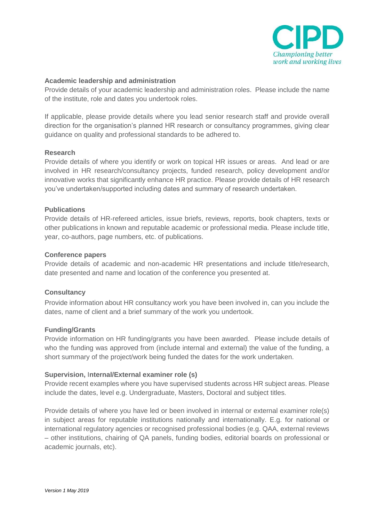

## **Academic leadership and administration**

Provide details of your academic leadership and administration roles. Please include the name of the institute, role and dates you undertook roles.

If applicable, please provide details where you lead senior research staff and provide overall direction for the organisation's planned HR research or consultancy programmes, giving clear guidance on quality and professional standards to be adhered to.

#### **Research**

Provide details of where you identify or work on topical HR issues or areas. And lead or are involved in HR research/consultancy projects, funded research, policy development and/or innovative works that significantly enhance HR practice. Please provide details of HR research you've undertaken/supported including dates and summary of research undertaken.

#### **Publications**

Provide details of HR-refereed articles, issue briefs, reviews, reports, book chapters, texts or other publications in known and reputable academic or professional media. Please include title, year, co-authors, page numbers, etc. of publications.

#### **Conference papers**

Provide details of academic and non-academic HR presentations and include title/research, date presented and name and location of the conference you presented at.

#### **Consultancy**

Provide information about HR consultancy work you have been involved in, can you include the dates, name of client and a brief summary of the work you undertook.

#### **Funding/Grants**

Provide information on HR funding/grants you have been awarded. Please include details of who the funding was approved from (include internal and external) the value of the funding, a short summary of the project/work being funded the dates for the work undertaken.

#### **Supervision,** I**nternal/External examiner role (s)**

Provide recent examples where you have supervised students across HR subject areas. Please include the dates, level e.g. Undergraduate, Masters, Doctoral and subject titles.

Provide details of where you have led or been involved in internal or external examiner role(s) in subject areas for reputable institutions nationally and internationally. E.g. for national or international regulatory agencies or recognised professional bodies (e.g. QAA, external reviews – other institutions, chairing of QA panels, funding bodies, editorial boards on professional or academic journals, etc).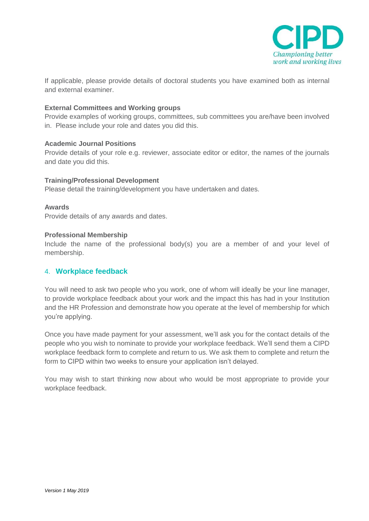

If applicable, please provide details of doctoral students you have examined both as internal and external examiner.

#### **External Committees and Working groups**

Provide examples of working groups, committees, sub committees you are/have been involved in. Please include your role and dates you did this.

## **Academic Journal Positions**

Provide details of your role e.g. reviewer, associate editor or editor, the names of the journals and date you did this.

#### **Training/Professional Development**

Please detail the training/development you have undertaken and dates.

#### **Awards**

Provide details of any awards and dates.

#### **Professional Membership**

Include the name of the professional body(s) you are a member of and your level of membership.

## 4. **Workplace feedback**

You will need to ask two people who you work, one of whom will ideally be your line manager, to provide workplace feedback about your work and the impact this has had in your Institution and the HR Profession and demonstrate how you operate at the level of membership for which you're applying.

Once you have made payment for your assessment, we'll ask you for the contact details of the people who you wish to nominate to provide your workplace feedback. We'll send them a CIPD workplace feedback form to complete and return to us. We ask them to complete and return the form to CIPD within two weeks to ensure your application isn't delayed.

You may wish to start thinking now about who would be most appropriate to provide your workplace feedback.